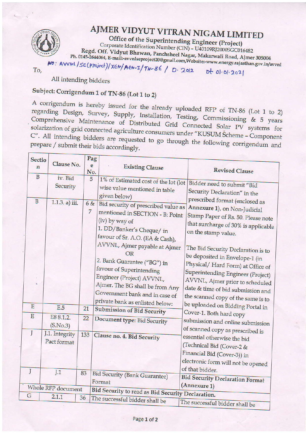

## AJMER VIDYUT VITRAN NIGAM LIMITED

Office of the Superintending Engineer (Project) Corporate Identification Number (CIN) - U40109RJ2000SGC016482 Regd. Off. Vidyut Bhawan, Panchsheel Nagar, Makarwali Road, Ajmer 305004 Ph. 0145-2644064, E-mail:-avvnlseproject20@gmail.com, Website:-www.energy.rajasthan.gov.in/avvnl

To,

No: AVVNL/SE(project)/XEN/AEN-I/TN-86/D.2012 Dt 01.01.2021

All intending bidders

### Subject: Corrigendum 1 of TN-86 (Lot 1 to 2)

A corrigendum is hereby issued for the already uploaded RFP of TN-86 (Lot 1 to 2) regarding Design, Survey, Supply, Installation, Testing, Commissioning & 5 years Comprehensive Maintenance of Distributed Grid Connected Solar PV systems for solarization of grid connected agriculture consumers under "KUSUM Scheme - Component C". All intending bidders are requested to go through the following corrigendum and prepare / submit their bids accordingly.

|                    | <b>Sectio</b>       | Clause No.                              | Pag                               |                                                                                                                                                                                                                                                                                                                                                            |                                                                                                                                                                                                                                                                                                                                                                       |
|--------------------|---------------------|-----------------------------------------|-----------------------------------|------------------------------------------------------------------------------------------------------------------------------------------------------------------------------------------------------------------------------------------------------------------------------------------------------------------------------------------------------------|-----------------------------------------------------------------------------------------------------------------------------------------------------------------------------------------------------------------------------------------------------------------------------------------------------------------------------------------------------------------------|
|                    | n                   |                                         | e                                 | <b>Existing Clause</b>                                                                                                                                                                                                                                                                                                                                     |                                                                                                                                                                                                                                                                                                                                                                       |
|                    | B<br>$\overline{B}$ | iv. Bid<br>Security<br>$1.1.3. a)$ iii. | No.<br>5<br>6 &<br>$\overline{7}$ | 1% of Estimated cost of the lot (lot<br>wise value mentioned in table<br>given below)<br>Bid security of prescribed value as<br>mentioned in SECTION - B: Point<br>(iv) by way of<br>1. DD/Banker's Cheque/ in<br>favour of Sr. A.O. (EA & Cash),<br>AVVNL, Ajmer payable at Ajmer<br><b>OR</b><br>2. Bank Guarantee ("BG") in<br>favour of Superintending | <b>Revised Clause</b><br>Bidder need to submit "Bid<br>Security Declaration" in the<br>prescribed format (enclosed as<br>Annexure 1), on Non-Judicial<br>Stamp Paper of Rs. 50. Please note<br>that surcharge of 30% is applicable<br>on the stamp value.<br>The Bid Security Declaration is to<br>be deposited in Envelope-1 (in<br>Physical/Hard Form) at Office of |
|                    |                     |                                         |                                   | Engineer (Project) AVVNL,<br>Ajmer. The BG shall be from Any<br>Government bank and in case of                                                                                                                                                                                                                                                             | Superintending Engineer (Project)<br>AVVNL, Ajmer prior to scheduled<br>date & time of bid submission and<br>the scanned copy of the same is to                                                                                                                                                                                                                       |
|                    | $\mathbf E$         | E.5                                     | 21                                | private bank as enlisted below:                                                                                                                                                                                                                                                                                                                            | be uploaded on Bidding Portal in                                                                                                                                                                                                                                                                                                                                      |
|                    | $\mathbf E$         | E8 8.1.2.                               | 22                                | Submission of Bid Security                                                                                                                                                                                                                                                                                                                                 | Cover-1. Both hard copy                                                                                                                                                                                                                                                                                                                                               |
|                    |                     | (S.No.3)                                |                                   | Document type: Bid Security                                                                                                                                                                                                                                                                                                                                | submission and online submission                                                                                                                                                                                                                                                                                                                                      |
|                    | J                   | J.1. Integrity<br>Pact format           | 133                               | Clause no. 4. Bid Security                                                                                                                                                                                                                                                                                                                                 | of scanned copy as prescribed is<br>essential otherwise the bid<br>(Technical Bid (Cover-2 &<br>Financial Bid (Cover-3)) in<br>electronic form will not be opened                                                                                                                                                                                                     |
|                    | J                   | J.1                                     | 83                                | <b>Bid Security (Bank Guarantee)</b>                                                                                                                                                                                                                                                                                                                       | of that bidder.                                                                                                                                                                                                                                                                                                                                                       |
|                    |                     |                                         |                                   | Format                                                                                                                                                                                                                                                                                                                                                     | <b>Bid Security Declaration Format</b>                                                                                                                                                                                                                                                                                                                                |
| Whole RFP document |                     |                                         |                                   |                                                                                                                                                                                                                                                                                                                                                            | (Annexure 1)                                                                                                                                                                                                                                                                                                                                                          |
|                    | $\mathsf G$         | 2.1.1                                   | 36                                | Bid Security to read as Bid Security Declaration.<br>The successful bidder shall be                                                                                                                                                                                                                                                                        |                                                                                                                                                                                                                                                                                                                                                                       |
|                    |                     |                                         |                                   |                                                                                                                                                                                                                                                                                                                                                            | The successful bidder shall be                                                                                                                                                                                                                                                                                                                                        |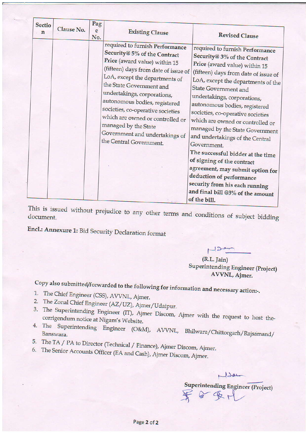| <b>Sectio</b><br>n | Clause No. | Pag<br>e<br>No. | <b>Existing Clause</b>                                                                                                                                                                                                                                                                                                                                                                                                               | <b>Revised Clause</b>                                                                                                                                                                                                                                                                                                                                                                                                                                                                                                                                                                                                                                                |
|--------------------|------------|-----------------|--------------------------------------------------------------------------------------------------------------------------------------------------------------------------------------------------------------------------------------------------------------------------------------------------------------------------------------------------------------------------------------------------------------------------------------|----------------------------------------------------------------------------------------------------------------------------------------------------------------------------------------------------------------------------------------------------------------------------------------------------------------------------------------------------------------------------------------------------------------------------------------------------------------------------------------------------------------------------------------------------------------------------------------------------------------------------------------------------------------------|
|                    |            |                 | required to furnish Performance<br>Security@ 5% of the Contract<br>Price (award value) within 15<br>(fifteen) days from date of issue of<br>LoA, except the departments of<br>the State Government and<br>undertakings, corporations,<br>autonomous bodies, registered<br>societies, co-operative societies<br>which are owned or controlled or<br>managed by the State<br>Government and undertakings of<br>the Central Government. | required to furnish Performance<br>Security@ 3% of the Contract<br>Price (award value) within 15<br>(fifteen) days from date of issue of<br>LoA, except the departments of the<br><b>State Government and</b><br>undertakings, corporations,<br>autonomous bodies, registered<br>societies, co-operative societies<br>which are owned or controlled or<br>managed by the State Government<br>and undertakings of the Central<br>Government.<br>The successful bidder at the time<br>of signing of the contract<br>agreement, may submit option for<br>deduction of performance<br>security from his each running<br>and final bill @3% of the amount<br>of the bill. |

This is issued without prejudice to any other terms and conditions of subject bidding

Encl.: Annexure 1: Bid Security Declaration format

 $(R.L.$  Jain) **Superintending Engineer (Project)** AVVNL, Ajmer.

 $122$ 

# Copy also submitted/forwarded to the following for information and necessary action:-.

- 1. The Chief Engineer (CSS), AVVNL, Ajmer.
- 2. The Zonal Chief Engineer (AZ/UZ), Ajmer/Udaipur.
- 3. The Superintending Engineer (IT), Ajmer Discom, Ajmer with the request to host thecorrigendum notice at Nigam's Website.
- 4. The Superintending Engineer (O&M), AVVNL, Bhilwara/Chittorgarh/Rajsamand/
- 5. The TA / PA to Director (Technical / Finance), Ajmer Discom, Ajmer.
- 6. The Senior Accounts Officer (EA and Cash), Ajmer Discom, Ajmer.

Non Superintending Engineer (Project)